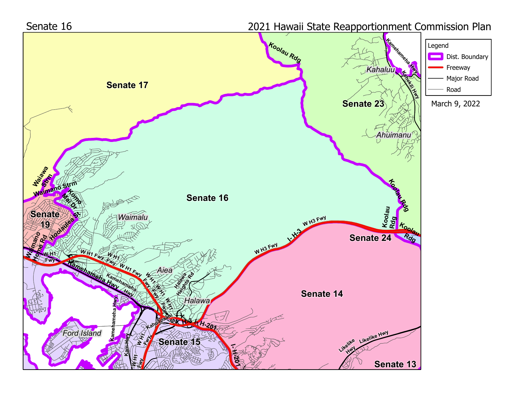